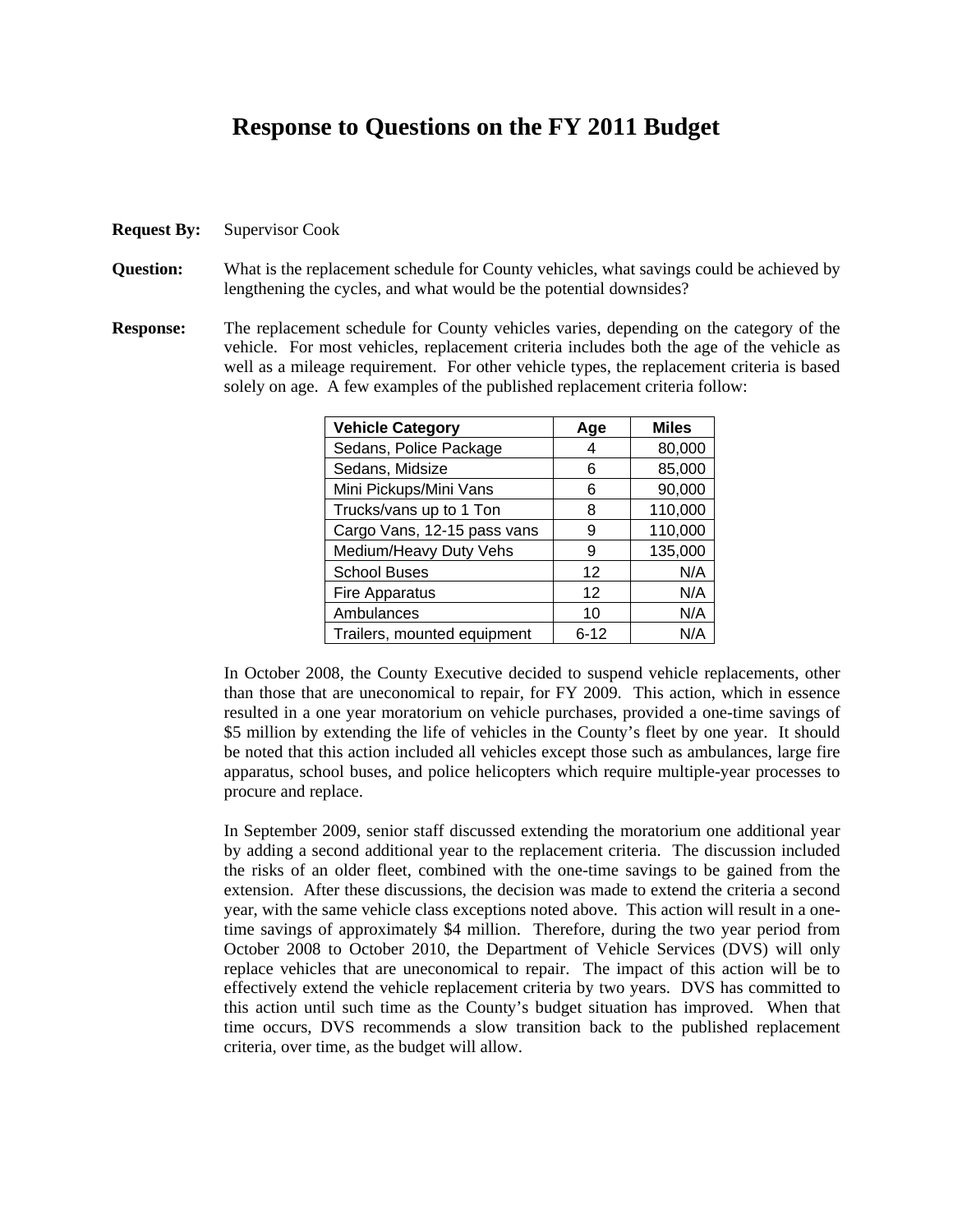## **Response to Questions on the FY 2011 Budget**

- **Request By:** Supervisor Cook
- **Question:** What is the replacement schedule for County vehicles, what savings could be achieved by lengthening the cycles, and what would be the potential downsides?
- **Response:** The replacement schedule for County vehicles varies, depending on the category of the vehicle. For most vehicles, replacement criteria includes both the age of the vehicle as well as a mileage requirement. For other vehicle types, the replacement criteria is based solely on age. A few examples of the published replacement criteria follow:

| <b>Vehicle Category</b>     | Aqe      | <b>Miles</b> |
|-----------------------------|----------|--------------|
| Sedans, Police Package      |          | 80,000       |
| Sedans, Midsize             | 6        | 85,000       |
| Mini Pickups/Mini Vans      | 6        | 90,000       |
| Trucks/vans up to 1 Ton     | 8        | 110,000      |
| Cargo Vans, 12-15 pass vans | 9        | 110,000      |
| Medium/Heavy Duty Vehs      | 9        | 135,000      |
| <b>School Buses</b>         | 12       | N/A          |
| Fire Apparatus              | 12       | N/A          |
| Ambulances                  | 10       | N/A          |
| Trailers, mounted equipment | $6 - 12$ | N/A          |

In October 2008, the County Executive decided to suspend vehicle replacements, other than those that are uneconomical to repair, for FY 2009. This action, which in essence resulted in a one year moratorium on vehicle purchases, provided a one-time savings of \$5 million by extending the life of vehicles in the County's fleet by one year. It should be noted that this action included all vehicles except those such as ambulances, large fire apparatus, school buses, and police helicopters which require multiple-year processes to procure and replace.

In September 2009, senior staff discussed extending the moratorium one additional year by adding a second additional year to the replacement criteria. The discussion included the risks of an older fleet, combined with the one-time savings to be gained from the extension. After these discussions, the decision was made to extend the criteria a second year, with the same vehicle class exceptions noted above. This action will result in a onetime savings of approximately \$4 million. Therefore, during the two year period from October 2008 to October 2010, the Department of Vehicle Services (DVS) will only replace vehicles that are uneconomical to repair. The impact of this action will be to effectively extend the vehicle replacement criteria by two years. DVS has committed to this action until such time as the County's budget situation has improved. When that time occurs, DVS recommends a slow transition back to the published replacement criteria, over time, as the budget will allow.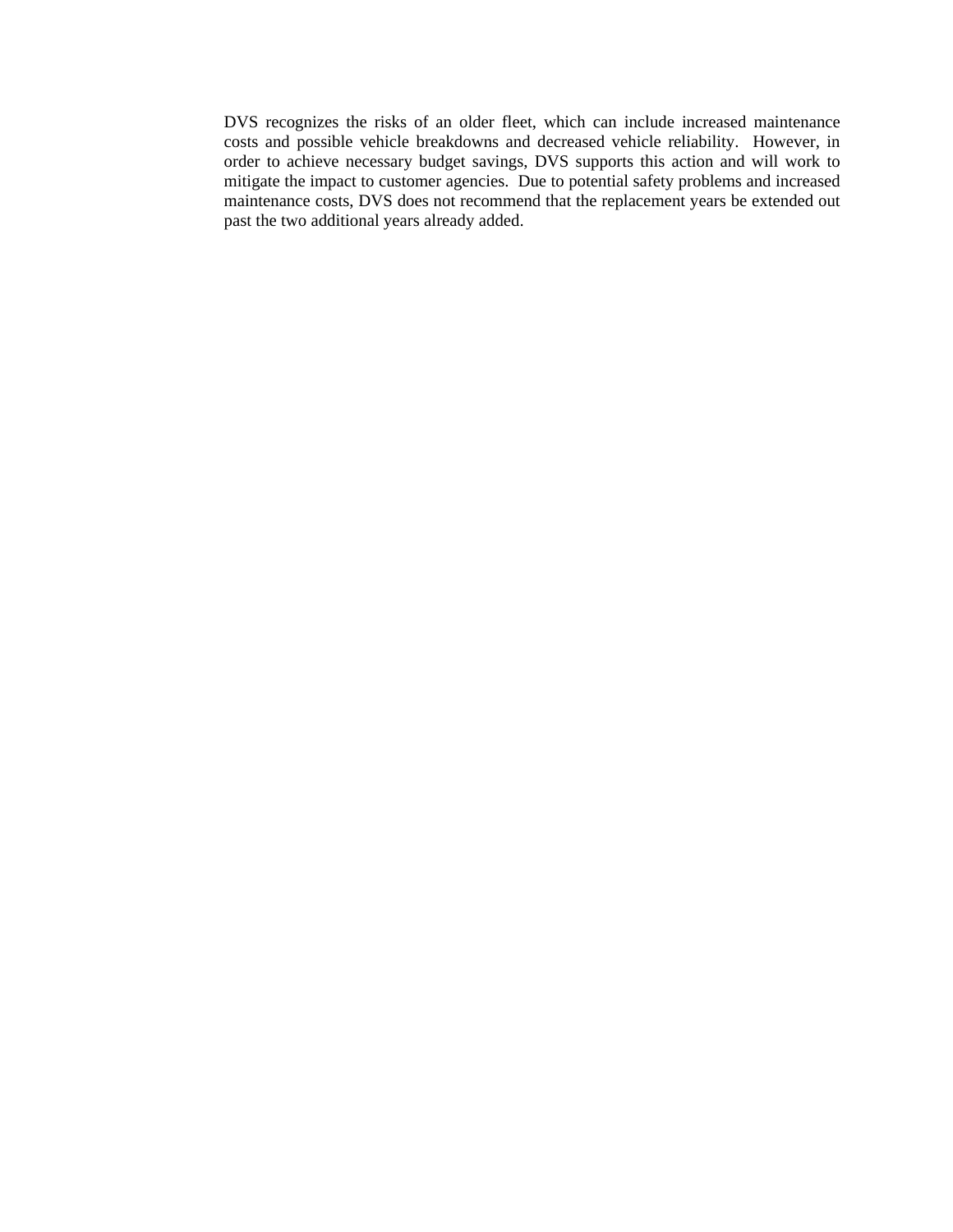DVS recognizes the risks of an older fleet, which can include increased maintenance costs and possible vehicle breakdowns and decreased vehicle reliability. However, in order to achieve necessary budget savings, DVS supports this action and will work to mitigate the impact to customer agencies. Due to potential safety problems and increased maintenance costs, DVS does not recommend that the replacement years be extended out past the two additional years already added.